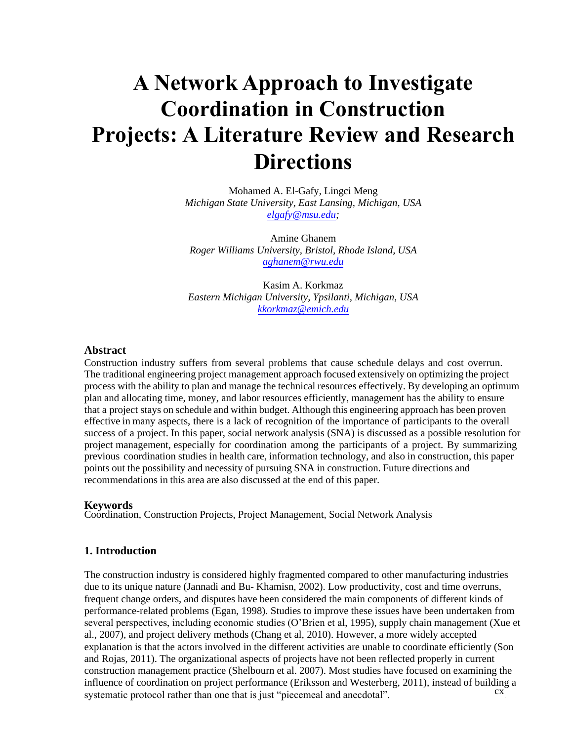# **A Network Approach to Investigate Coordination in Construction Projects: A Literature Review and Research Directions**

Mohamed A. El-Gafy, Lingci Meng *Michigan State University, East Lansing, Michigan, USA elgafy@msu.edu;* 

Amine Ghanem *Roger Williams University, Bristol, Rhode Island, USA aghanem@rwu.edu*

Kasim A. Korkmaz *Eastern Michigan University, Ypsilanti, Michigan, USA kkorkmaz@emich.edu*

#### **Abstract**

Construction industry suffers from several problems that cause schedule delays and cost overrun. The traditional engineering project management approach focused extensively on optimizing the project process with the ability to plan and manage the technical resources effectively. By developing an optimum plan and allocating time, money, and labor resources efficiently, management has the ability to ensure that a project stays on schedule and within budget. Although this engineering approach has been proven effective in many aspects, there is a lack of recognition of the importance of participants to the overall success of a project. In this paper, social network analysis (SNA) is discussed as a possible resolution for project management, especially for coordination among the participants of a project. By summarizing previous coordination studies in health care, information technology, and also in construction, this paper points out the possibility and necessity of pursuing SNA in construction. Future directions and recommendations in this area are also discussed at the end of this paper.

#### **Keywords**

Coordination, Construction Projects, Project Management, Social Network Analysis

#### **1. Introduction**

cx cvi in the control of the control of the control of the control of the control of the control of the control of The construction industry is considered highly fragmented compared to other manufacturing industries due to its unique nature (Jannadi and Bu- Khamisn, 2002). Low productivity, cost and time overruns, frequent change orders, and disputes have been considered the main components of different kinds of performance-related problems (Egan, 1998). Studies to improve these issues have been undertaken from several perspectives, including economic studies (O'Brien et al, 1995), supply chain management (Xue et al., 2007), and project delivery methods (Chang et al, 2010). However, a more widely accepted explanation is that the actors involved in the different activities are unable to coordinate efficiently (Son and Rojas, 2011). The organizational aspects of projects have not been reflected properly in current construction management practice (Shelbourn et al. 2007). Most studies have focused on examining the influence of coordination on project performance (Eriksson and Westerberg, 2011), instead of building a systematic protocol rather than one that is just "piecemeal and anecdotal".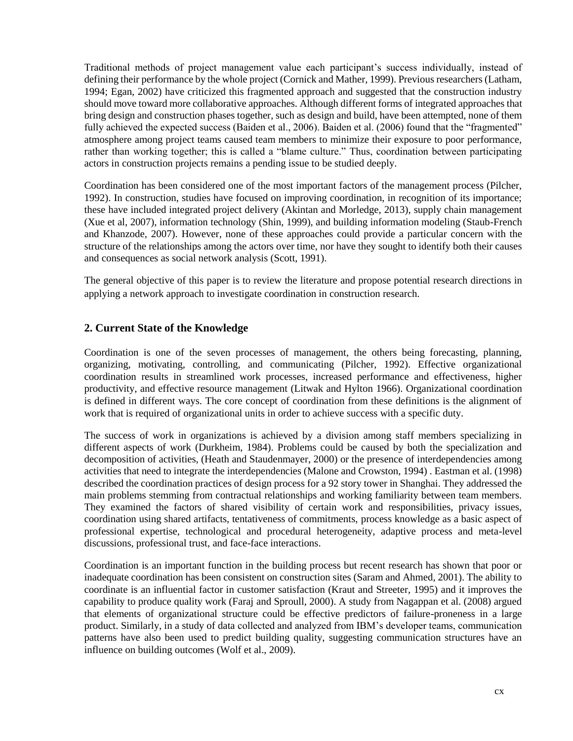Traditional methods of project management value each participant's success individually, instead of defining their performance by the whole project (Cornick and Mather, 1999). Previous researchers (Latham, 1994; Egan, 2002) have criticized this fragmented approach and suggested that the construction industry should move toward more collaborative approaches. Although different forms of integrated approaches that bring design and construction phases together, such as design and build, have been attempted, none of them fully achieved the expected success (Baiden et al., 2006). Baiden et al. (2006) found that the "fragmented" atmosphere among project teams caused team members to minimize their exposure to poor performance, rather than working together; this is called a "blame culture." Thus, coordination between participating actors in construction projects remains a pending issue to be studied deeply.

Coordination has been considered one of the most important factors of the management process (Pilcher, 1992). In construction, studies have focused on improving coordination, in recognition of its importance; these have included integrated project delivery (Akintan and Morledge, 2013), supply chain management (Xue et al, 2007), information technology (Shin, 1999), and building information modeling (Staub-French and Khanzode, 2007). However, none of these approaches could provide a particular concern with the structure of the relationships among the actors over time, nor have they sought to identify both their causes and consequences as social network analysis (Scott, 1991).

The general objective of this paper is to review the literature and propose potential research directions in applying a network approach to investigate coordination in construction research.

# **2. Current State of the Knowledge**

Coordination is one of the seven processes of management, the others being forecasting, planning, organizing, motivating, controlling, and communicating (Pilcher, 1992). Effective organizational coordination results in streamlined work processes, increased performance and effectiveness, higher productivity, and effective resource management (Litwak and Hylton 1966). Organizational coordination is defined in different ways. The core concept of coordination from these definitions is the alignment of work that is required of organizational units in order to achieve success with a specific duty.

The success of work in organizations is achieved by a division among staff members specializing in different aspects of work (Durkheim, 1984). Problems could be caused by both the specialization and decomposition of activities, (Heath and Staudenmayer, 2000) or the presence of interdependencies among activities that need to integrate the interdependencies (Malone and Crowston, 1994) . Eastman et al. (1998) described the coordination practices of design process for a 92 story tower in Shanghai. They addressed the main problems stemming from contractual relationships and working familiarity between team members. They examined the factors of shared visibility of certain work and responsibilities, privacy issues, coordination using shared artifacts, tentativeness of commitments, process knowledge as a basic aspect of professional expertise, technological and procedural heterogeneity, adaptive process and meta-level discussions, professional trust, and face-face interactions.

Coordination is an important function in the building process but recent research has shown that poor or inadequate coordination has been consistent on construction sites (Saram and Ahmed, 2001). The ability to coordinate is an influential factor in customer satisfaction (Kraut and Streeter, 1995) and it improves the capability to produce quality work (Faraj and Sproull, 2000). A study from Nagappan et al. (2008) argued that elements of organizational structure could be effective predictors of failure-proneness in a large product. Similarly, in a study of data collected and analyzed from IBM's developer teams, communication patterns have also been used to predict building quality, suggesting communication structures have an influence on building outcomes (Wolf et al., 2009).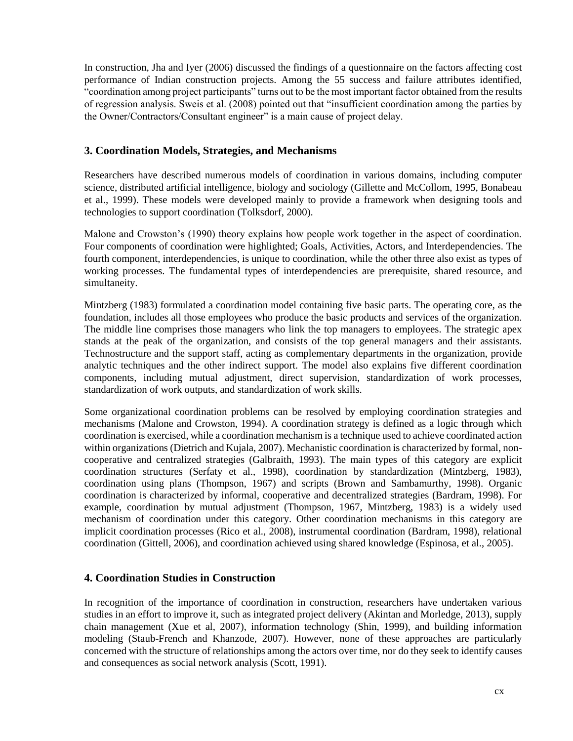In construction, Jha and Iyer (2006) discussed the findings of a questionnaire on the factors affecting cost performance of Indian construction projects. Among the 55 success and failure attributes identified, "coordination among project participants" turns out to be the most important factor obtained from the results of regression analysis. Sweis et al. (2008) pointed out that "insufficient coordination among the parties by the Owner/Contractors/Consultant engineer" is a main cause of project delay.

# **3. Coordination Models, Strategies, and Mechanisms**

Researchers have described numerous models of coordination in various domains, including computer science, distributed artificial intelligence, biology and sociology (Gillette and McCollom, 1995, Bonabeau et al., 1999). These models were developed mainly to provide a framework when designing tools and technologies to support coordination (Tolksdorf, 2000).

Malone and Crowston's (1990) theory explains how people work together in the aspect of coordination. Four components of coordination were highlighted; Goals, Activities, Actors, and Interdependencies. The fourth component, interdependencies, is unique to coordination, while the other three also exist as types of working processes. The fundamental types of interdependencies are prerequisite, shared resource, and simultaneity.

Mintzberg (1983) formulated a coordination model containing five basic parts. The operating core, as the foundation, includes all those employees who produce the basic products and services of the organization. The middle line comprises those managers who link the top managers to employees. The strategic apex stands at the peak of the organization, and consists of the top general managers and their assistants. Technostructure and the support staff, acting as complementary departments in the organization, provide analytic techniques and the other indirect support. The model also explains five different coordination components, including mutual adjustment, direct supervision, standardization of work processes, standardization of work outputs, and standardization of work skills.

Some organizational coordination problems can be resolved by employing coordination strategies and mechanisms (Malone and Crowston, 1994). A coordination strategy is defined as a logic through which coordination is exercised, while a coordination mechanism is a technique used to achieve coordinated action within organizations (Dietrich and Kujala, 2007). Mechanistic coordination is characterized by formal, noncooperative and centralized strategies (Galbraith, 1993). The main types of this category are explicit coordination structures (Serfaty et al., 1998), coordination by standardization (Mintzberg, 1983), coordination using plans (Thompson, 1967) and scripts (Brown and Sambamurthy, 1998). Organic coordination is characterized by informal, cooperative and decentralized strategies (Bardram, 1998). For example, coordination by mutual adjustment (Thompson, 1967, Mintzberg, 1983) is a widely used mechanism of coordination under this category. Other coordination mechanisms in this category are implicit coordination processes (Rico et al., 2008), instrumental coordination (Bardram, 1998), relational coordination (Gittell, 2006), and coordination achieved using shared knowledge (Espinosa, et al., 2005).

# **4. Coordination Studies in Construction**

In recognition of the importance of coordination in construction, researchers have undertaken various studies in an effort to improve it, such as integrated project delivery (Akintan and Morledge, 2013), supply chain management (Xue et al, 2007), information technology (Shin, 1999), and building information modeling (Staub-French and Khanzode, 2007). However, none of these approaches are particularly concerned with the structure of relationships among the actors over time, nor do they seek to identify causes and consequences as social network analysis (Scott, 1991).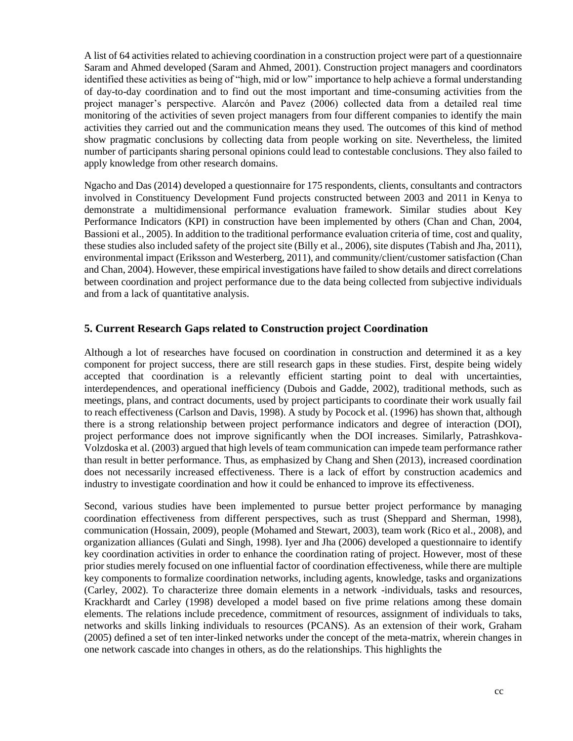A list of 64 activities related to achieving coordination in a construction project were part of a questionnaire Saram and Ahmed developed (Saram and Ahmed, 2001). Construction project managers and coordinators identified these activities as being of "high, mid or low" importance to help achieve a formal understanding of day-to-day coordination and to find out the most important and time-consuming activities from the project manager's perspective. Alarcón and Pavez (2006) collected data from a detailed real time monitoring of the activities of seven project managers from four different companies to identify the main activities they carried out and the communication means they used. The outcomes of this kind of method show pragmatic conclusions by collecting data from people working on site. Nevertheless, the limited number of participants sharing personal opinions could lead to contestable conclusions. They also failed to apply knowledge from other research domains.

Ngacho and Das (2014) developed a questionnaire for 175 respondents, clients, consultants and contractors involved in Constituency Development Fund projects constructed between 2003 and 2011 in Kenya to demonstrate a multidimensional performance evaluation framework. Similar studies about Key Performance Indicators (KPI) in construction have been implemented by others (Chan and Chan, 2004, Bassioni et al., 2005). In addition to the traditional performance evaluation criteria of time, cost and quality, these studies also included safety of the project site (Billy et al., 2006), site disputes (Tabish and Jha, 2011), environmental impact (Eriksson and Westerberg, 2011), and community/client/customer satisfaction (Chan and Chan, 2004). However, these empirical investigations have failed to show details and direct correlations between coordination and project performance due to the data being collected from subjective individuals and from a lack of quantitative analysis.

# **5. Current Research Gaps related to Construction project Coordination**

Although a lot of researches have focused on coordination in construction and determined it as a key component for project success, there are still research gaps in these studies. First, despite being widely accepted that coordination is a relevantly efficient starting point to deal with uncertainties, interdependences, and operational inefficiency (Dubois and Gadde, 2002), traditional methods, such as meetings, plans, and contract documents, used by project participants to coordinate their work usually fail to reach effectiveness (Carlson and Davis, 1998). A study by Pocock et al. (1996) has shown that, although there is a strong relationship between project performance indicators and degree of interaction (DOI), project performance does not improve significantly when the DOI increases. Similarly, Patrashkova-Volzdoska et al. (2003) argued that high levels of team communication can impede team performance rather than result in better performance. Thus, as emphasized by Chang and Shen (2013), increased coordination does not necessarily increased effectiveness. There is a lack of effort by construction academics and industry to investigate coordination and how it could be enhanced to improve its effectiveness.

Second, various studies have been implemented to pursue better project performance by managing coordination effectiveness from different perspectives, such as trust (Sheppard and Sherman, 1998), communication (Hossain, 2009), people (Mohamed and Stewart, 2003), team work (Rico et al., 2008), and organization alliances (Gulati and Singh, 1998). Iyer and Jha (2006) developed a questionnaire to identify key coordination activities in order to enhance the coordination rating of project. However, most of these prior studies merely focused on one influential factor of coordination effectiveness, while there are multiple key components to formalize coordination networks, including agents, knowledge, tasks and organizations (Carley, 2002). To characterize three domain elements in a network -individuals, tasks and resources, Krackhardt and Carley (1998) developed a model based on five prime relations among these domain elements. The relations include precedence, commitment of resources, assignment of individuals to taks, networks and skills linking individuals to resources (PCANS). As an extension of their work, Graham (2005) defined a set of ten inter-linked networks under the concept of the meta-matrix, wherein changes in one network cascade into changes in others, as do the relationships. This highlights the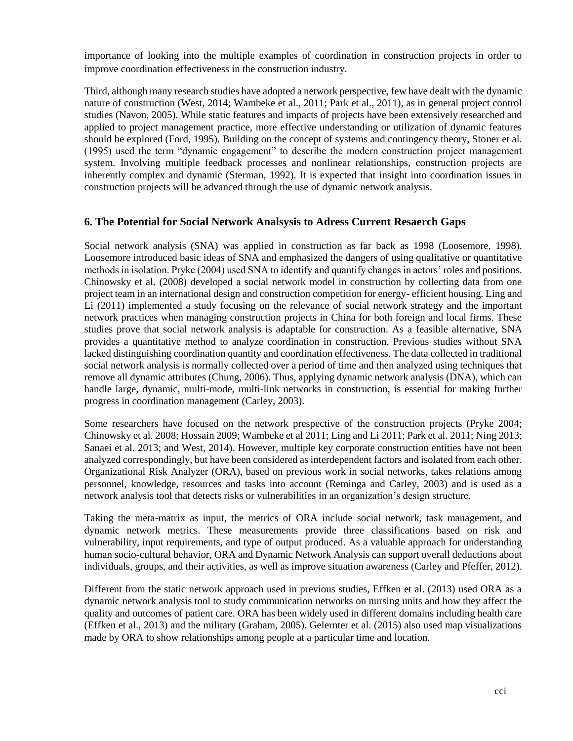importance of looking into the multiple examples of coordination in construction projects in order to improve coordination effectiveness in the construction industry.

Third, although many research studies have adopted a network perspective, few have dealt with the dynamic nature of construction (West, 2014; Wambeke et al., 2011; Park et al., 2011), as in general project control studies (Navon, 2005). While static features and impacts of projects have been extensively researched and applied to project management practice, more effective understanding or utilization of dynamic features should be explored (Ford, 1995). Building on the concept of systems and contingency theory, Stoner et al. (1995) used the term "dynamic engagement" to describe the modern construction project management system. Involving multiple feedback processes and nonlinear relationships, construction projects are inherently complex and dynamic (Sterman, 1992). It is expected that insight into coordination issues in construction projects will be advanced through the use of dynamic network analysis.

# **6. The Potential for Social Network Analsysis to Adress Current Resaerch Gaps**

Social network analysis (SNA) was applied in construction as far back as 1998 (Loosemore, 1998). Loosemore introduced basic ideas of SNA and emphasized the dangers of using qualitative or quantitative methods in isolation. Pryke (2004) used SNA to identify and quantify changes in actors' roles and positions. Chinowsky et al. (2008) developed a social network model in construction by collecting data from one project team in an international design and construction competition for energy- efficient housing. Ling and Li (2011) implemented a study focusing on the relevance of social network strategy and the important network practices when managing construction projects in China for both foreign and local firms. These studies prove that social network analysis is adaptable for construction. As a feasible alternative, SNA provides a quantitative method to analyze coordination in construction. Previous studies without SNA lacked distinguishing coordination quantity and coordination effectiveness. The data collected in traditional social network analysis is normally collected over a period of time and then analyzed using techniques that remove all dynamic attributes (Chung, 2006). Thus, applying dynamic network analysis (DNA), which can handle large, dynamic, multi-mode, multi-link networks in construction, is essential for making further progress in coordination management (Carley, 2003).

Some researchers have focused on the network prespective of the construction projects (Pryke 2004; Chinowsky et al. 2008; Hossain 2009; Wambeke et al 2011; Ling and Li 2011; Park et al. 2011; Ning 2013; Sanaei et al. 2013; and West, 2014). However, multiple key corporate construction entities have not been analyzed correspondingly, but have been considered as interdependent factors and isolated from each other. Organizational Risk Analyzer (ORA), based on previous work in social networks, takes relations among personnel, knowledge, resources and tasks into account (Reminga and Carley, 2003) and is used as a network analysis tool that detects risks or vulnerabilities in an organization's design structure.

Taking the meta-matrix as input, the metrics of ORA include social network, task management, and dynamic network metrics. These measurements provide three classifications based on risk and vulnerability, input requirements, and type of output produced. As a valuable approach for understanding human socio-cultural behavior, ORA and Dynamic Network Analysis can support overall deductions about individuals, groups, and their activities, as well as improve situation awareness (Carley and Pfeffer, 2012).

Different from the static network approach used in previous studies, Effken et al. (2013) used ORA as a dynamic network analysis tool to study communication networks on nursing units and how they affect the quality and outcomes of patient care. ORA has been widely used in different domains including health care (Effken et al., 2013) and the military (Graham, 2005). Gelernter et al. (2015) also used map visualizations made by ORA to show relationships among people at a particular time and location.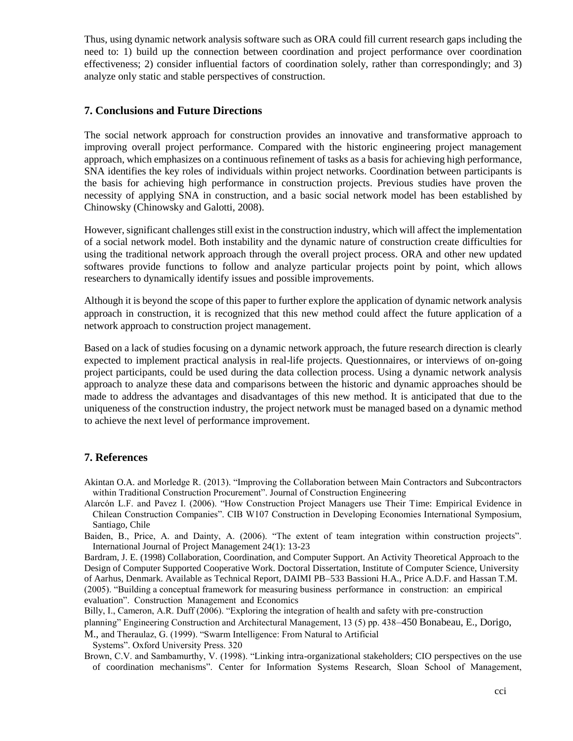Thus, using dynamic network analysis software such as ORA could fill current research gaps including the need to: 1) build up the connection between coordination and project performance over coordination effectiveness; 2) consider influential factors of coordination solely, rather than correspondingly; and 3) analyze only static and stable perspectives of construction.

#### **7. Conclusions and Future Directions**

The social network approach for construction provides an innovative and transformative approach to improving overall project performance. Compared with the historic engineering project management approach, which emphasizes on a continuous refinement of tasks as a basis for achieving high performance, SNA identifies the key roles of individuals within project networks. Coordination between participants is the basis for achieving high performance in construction projects. Previous studies have proven the necessity of applying SNA in construction, and a basic social network model has been established by Chinowsky (Chinowsky and Galotti, 2008).

However, significant challenges still exist in the construction industry, which will affect the implementation of a social network model. Both instability and the dynamic nature of construction create difficulties for using the traditional network approach through the overall project process. ORA and other new updated softwares provide functions to follow and analyze particular projects point by point, which allows researchers to dynamically identify issues and possible improvements.

Although it is beyond the scope of this paper to further explore the application of dynamic network analysis approach in construction, it is recognized that this new method could affect the future application of a network approach to construction project management.

Based on a lack of studies focusing on a dynamic network approach, the future research direction is clearly expected to implement practical analysis in real-life projects. Questionnaires, or interviews of on-going project participants, could be used during the data collection process. Using a dynamic network analysis approach to analyze these data and comparisons between the historic and dynamic approaches should be made to address the advantages and disadvantages of this new method. It is anticipated that due to the uniqueness of the construction industry, the project network must be managed based on a dynamic method to achieve the next level of performance improvement.

# **7. References**

- Akintan O.A. and Morledge R. (2013). "Improving the Collaboration between Main Contractors and Subcontractors within Traditional Construction Procurement". Journal of Construction Engineering
- Alarcón L.F. and Pavez I. (2006). "How Construction Project Managers use Their Time: Empirical Evidence in Chilean Construction Companies". CIB W107 Construction in Developing Economies International Symposium, Santiago, Chile
- Baiden, B., Price, A. and Dainty, A. (2006). "The extent of team integration within construction projects". International Journal of Project Management 24(1): 13-23
- Bardram, J. E. (1998) Collaboration, Coordination, and Computer Support. An Activity Theoretical Approach to the Design of Computer Supported Cooperative Work. Doctoral Dissertation, Institute of Computer Science, University of Aarhus, Denmark. Available as Technical Report, DAIMI PB–533 Bassioni H.A., Price A.D.F. and Hassan T.M. (2005). "Building a conceptual framework for measuring business performance in construction: an empirical evaluation". Construction Management and Economics
- Billy, I., Cameron, A.R. Duff (2006). "Exploring the integration of health and safety with pre-construction
- planning" Engineering Construction and Architectural Management, 13 (5) pp. 438–450 Bonabeau, E., Dorigo,
- M., and Theraulaz, G. (1999). "Swarm Intelligence: From Natural to Artificial

Systems". Oxford University Press. 320

Brown, C.V. and Sambamurthy, V. (1998). "Linking intra-organizational stakeholders; CIO perspectives on the use of coordination mechanisms". Center for Information Systems Research, Sloan School of Management,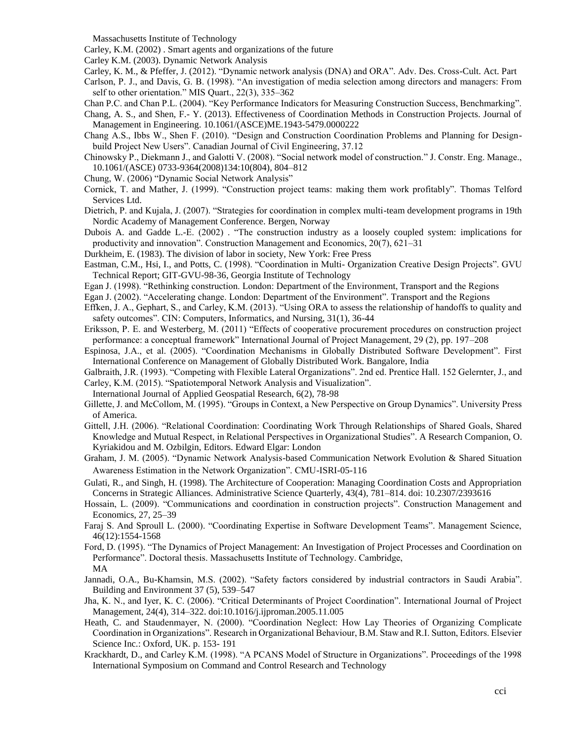Massachusetts Institute of Technology

Carley, K.M. (2002) . Smart agents and organizations of the future

Carley K.M. (2003). Dynamic Network Analysis

Carley, K. M., & Pfeffer, J. (2012). "Dynamic network analysis (DNA) and ORA". Adv. Des. Cross-Cult. Act. Part

Carlson, P. J., and Davis, G. B. (1998). "An investigation of media selection among directors and managers: From self to other orientation." MIS Quart., 22(3), 335–362

- Chan P.C. and Chan P.L. (2004). "Key Performance Indicators for Measuring Construction Success, Benchmarking".
- Chang, A. S., and Shen, F.- Y. (2013). Effectiveness of Coordination Methods in Construction Projects. Journal of Management in Engineering. 10.1061/(ASCE)ME.1943-5479.0000222
- Chang A.S., Ibbs W., Shen F. (2010). "Design and Construction Coordination Problems and Planning for Designbuild Project New Users". Canadian Journal of Civil Engineering, 37.12
- Chinowsky P., Diekmann J., and Galotti V. (2008). "Social network model of construction." J. Constr. Eng. Manage., 10.1061/(ASCE) 0733-9364(2008)134:10(804), 804–812
- Chung, W. (2006) "Dynamic Social Network Analysis"
- Cornick, T. and Mather, J. (1999). "Construction project teams: making them work profitably". Thomas Telford Services Ltd.
- Dietrich, P. and Kujala, J. (2007). "Strategies for coordination in complex multi-team development programs in 19th Nordic Academy of Management Conference. Bergen, Norway
- Dubois A. and Gadde L.-E. (2002) . "The construction industry as a loosely coupled system: implications for productivity and innovation". Construction Management and Economics, 20(7), 621–31
- Durkheim, E. (1983). The division of labor in society, New York: Free Press
- Eastman, C.M., Hsi, I., and Potts, C. (1998). "Coordination in Multi- Organization Creative Design Projects". GVU Technical Report; GIT-GVU-98-36, Georgia Institute of Technology
- Egan J. (1998). "Rethinking construction. London: Department of the Environment, Transport and the Regions
- Egan J. (2002). "Accelerating change. London: Department of the Environment". Transport and the Regions
- Effken, J. A., Gephart, S., and Carley, K.M. (2013). "Using ORA to assess the relationship of handoffs to quality and safety outcomes". CIN: Computers, Informatics, and Nursing, 31(1), 36-44
- Eriksson, P. E. and Westerberg, M. (2011) "Effects of cooperative procurement procedures on construction project performance: a conceptual framework" International Journal of Project Management, 29 (2), pp. 197–208
- Espinosa, J.A., et al. (2005). "Coordination Mechanisms in Globally Distributed Software Development". First International Conference on Management of Globally Distributed Work. Bangalore, India
- Galbraith, J.R. (1993). "Competing with Flexible Lateral Organizations". 2nd ed. Prentice Hall. 152 Gelernter, J., and Carley, K.M. (2015). "Spatiotemporal Network Analysis and Visualization".
- International Journal of Applied Geospatial Research, 6(2), 78-98
- Gillette, J. and McCollom, M. (1995). "Groups in Context, a New Perspective on Group Dynamics". University Press of America.
- Gittell, J.H. (2006). "Relational Coordination: Coordinating Work Through Relationships of Shared Goals, Shared Knowledge and Mutual Respect, in Relational Perspectives in Organizational Studies". A Research Companion, O. Kyriakidou and M. Ozbilgin, Editors. Edward Elgar: London
- Graham, J. M. (2005). "Dynamic Network Analysis-based Communication Network Evolution & Shared Situation Awareness Estimation in the Network Organization". CMU-ISRI-05-116
- Gulati, R., and Singh, H. (1998). The Architecture of Cooperation: Managing Coordination Costs and Appropriation Concerns in Strategic Alliances. Administrative Science Quarterly, 43(4), 781–814. doi: 10.2307/2393616
- Hossain, L. (2009). "Communications and coordination in construction projects". Construction Management and Economics, 27, 25–39
- Faraj S. And Sproull L. (2000). "Coordinating Expertise in Software Development Teams". Management Science, 46(12):1554-1568
- Ford, D. (1995). "The Dynamics of Project Management: An Investigation of Project Processes and Coordination on Performance". Doctoral thesis. Massachusetts Institute of Technology. Cambridge, MA
- Jannadi, O.A., Bu-Khamsin, M.S. (2002). "Safety factors considered by industrial contractors in Saudi Arabia". Building and Environment 37 (5), 539–547
- Jha, K. N., and Iyer, K. C. (2006). "Critical Determinants of Project Coordination". International Journal of Project Management, 24(4), 314–322. doi:10.1016/j.ijproman.2005.11.005
- Heath, C. and Staudenmayer, N. (2000). "Coordination Neglect: How Lay Theories of Organizing Complicate Coordination in Organizations". Research in Organizational Behaviour, B.M. Staw and R.I. Sutton, Editors. Elsevier Science Inc.: Oxford, UK. p. 153- 191
- Krackhardt, D., and Carley K.M. (1998). "A PCANS Model of Structure in Organizations". Proceedings of the 1998 International Symposium on Command and Control Research and Technology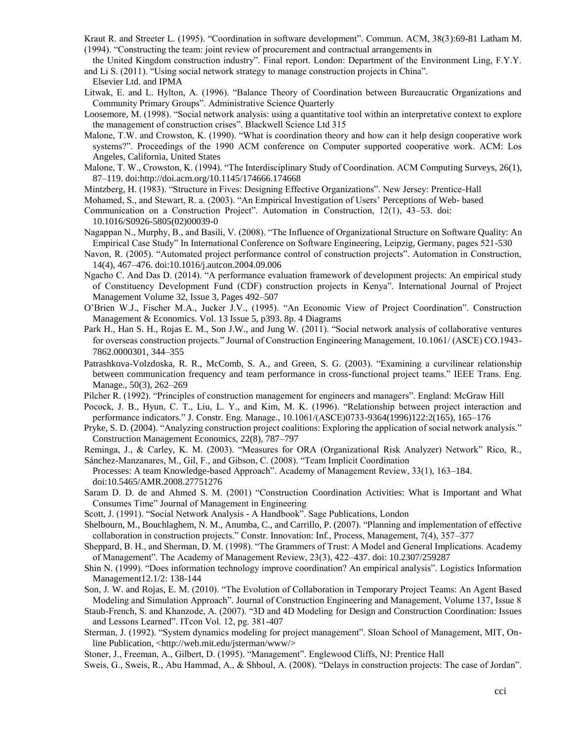Kraut R. and Streeter L. (1995). "Coordination in software development". Commun. ACM, 38(3):69-81 Latham M. (1994). "Constructing the team: joint review of procurement and contractual arrangements in

the United Kingdom construction industry". Final report. London: Department of the Environment Ling, F.Y.Y. and Li S. (2011). "Using social network strategy to manage construction projects in China".

Elsevier Ltd. and IPMA

- Litwak, E. and L. Hylton, A. (1996). "Balance Theory of Coordination between Bureaucratic Organizations and Community Primary Groups". Administrative Science Quarterly
- Loosemore, M. (1998). "Social network analysis: using a quantitative tool within an interpretative context to explore the management of construction crises". Blackwell Science Ltd 315
- Malone, T.W. and Crowston, K. (1990). "What is coordination theory and how can it help design cooperative work systems?". Proceedings of the 1990 ACM conference on Computer supported cooperative work. ACM: Los Angeles, California, United States
- Malone, T. W., Crowston, K. (1994). "The Interdisciplinary Study of Coordination. ACM Computing Surveys, 26(1), 87–119. doi:http://doi.acm.org/10.1145/174666.174668
- Mintzberg, H. (1983). "Structure in Fives: Designing Effective Organizations". New Jersey: Prentice-Hall
- Mohamed, S., and Stewart, R. a. (2003). "An Empirical Investigation of Users' Perceptions of Web- based
- Communication on a Construction Project". Automation in Construction, 12(1), 43–53. doi: 10.1016/S0926-5805(02)00039-0
- Nagappan N., Murphy, B., and Basili, V. (2008). "The Influence of Organizational Structure on Software Quality: An Empirical Case Study" In International Conference on Software Engineering, Leipzig, Germany, pages 521-530
- Navon, R. (2005). "Automated project performance control of construction projects". Automation in Construction, 14(4), 467–476. doi:10.1016/j.autcon.2004.09.006
- Ngacho C. And Das D. (2014). "A performance evaluation framework of development projects: An empirical study of Constituency Development Fund (CDF) construction projects in Kenya". International Journal of Project Management Volume 32, Issue 3, Pages 492–507
- O'Brien W.J., Fischer M.A., Jucker J.V., (1995). "An Economic View of Project Coordination". Construction Management & Economics. Vol. 13 Issue 5, p393. 8p. 4 Diagrams
- Park H., Han S. H., Rojas E. M., Son J.W., and Jung W. (2011). "Social network analysis of collaborative ventures for overseas construction projects." Journal of Construction Engineering Management, 10.1061/ (ASCE) CO.1943- 7862.0000301, 344–355
- Patrashkova-Volzdoska, R. R., McComb, S. A., and Green, S. G. (2003). "Examining a curvilinear relationship between communication frequency and team performance in cross-functional project teams." IEEE Trans. Eng. Manage., 50(3), 262–269
- Pilcher R. (1992). "Principles of construction management for engineers and managers". England: McGraw Hill
- Pocock, J. B., Hyun, C. T., Liu, L. Y., and Kim, M. K. (1996). "Relationship between project interaction and performance indicators." J. Constr. Eng. Manage., 10.1061/(ASCE)0733-9364(1996)122:2(165), 165–176
- Pryke, S. D. (2004). "Analyzing construction project coalitions: Exploring the application of social network analysis." Construction Management Economics, 22(8), 787–797

Reminga, J., & Carley, K. M. (2003). "Measures for ORA (Organizational Risk Analyzer) Network" Rico, R., Sánchez-Manzanares, M., Gil, F., and Gibson, C. (2008). "Team Implicit Coordination

Processes: A team Knowledge-based Approach". Academy of Management Review, 33(1), 163–184. doi:10.5465/AMR.2008.27751276

- Saram D. D. de and Ahmed S. M. (2001) "Construction Coordination Activities: What is Important and What Consumes Time" Journal of Management in Engineering
- Scott, J. (1991). "Social Network Analysis A Handbook". Sage Publications, London
- Shelbourn, M., Bouchlaghem, N. M., Anumba, C., and Carrillo, P. (2007). "Planning and implementation of effective collaboration in construction projects." Constr. Innovation: Inf., Process, Management, 7(4), 357–377
- Sheppard, B. H., and Sherman, D. M. (1998). "The Grammers of Trust: A Model and General Implications. Academy of Management". The Academy of Management Review, 23(3), 422–437. doi: 10.2307/259287
- Shin N. (1999). "Does information technology improve coordination? An empirical analysis". Logistics Information Management12.1/2: 138-144
- Son, J. W. and Rojas, E. M. (2010). "The Evolution of Collaboration in Temporary Project Teams: An Agent Based Modeling and Simulation Approach". Journal of Construction Engineering and Management, Volume 137, Issue 8
- Staub-French, S. and Khanzode, A. (2007). "3D and 4D Modeling for Design and Construction Coordination: Issues and Lessons Learned". ITcon Vol. 12, pg. 381-407
- Sterman, J. (1992). "System dynamics modeling for project management". Sloan School of Management, MIT, Online Publication, <http://web.mit.edu/jsterman/www/>

Stoner, J., Freeman, A., Gilbert, D. (1995). "Management". Englewood Cliffs, NJ: Prentice Hall

Sweis, G., Sweis, R., Abu Hammad, A., & Shboul, A. (2008). "Delays in construction projects: The case of Jordan".